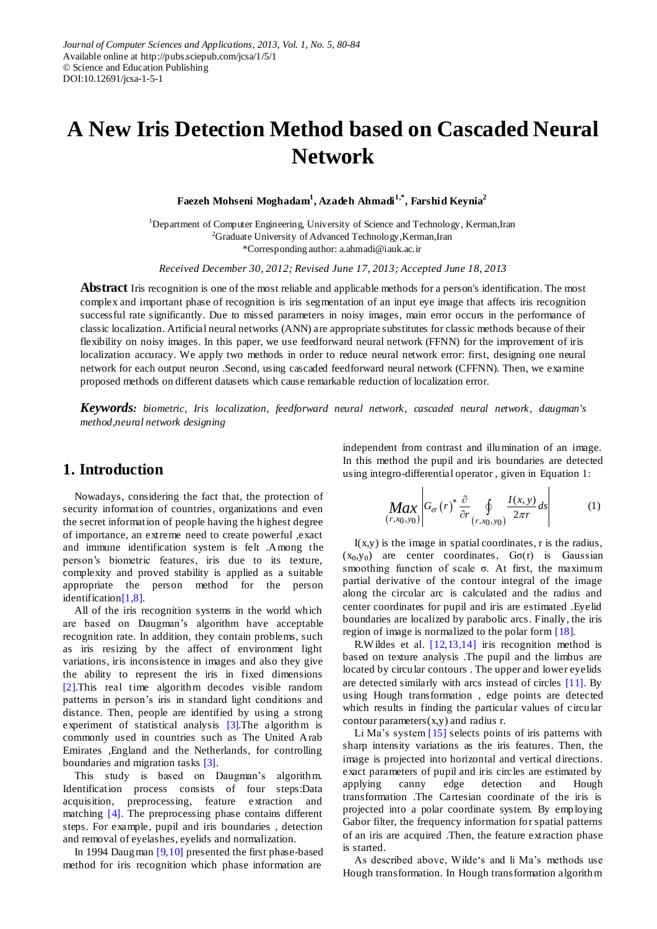# **A New Iris Detection Method based on Cascaded Neural Network**

**Faezeh Mohseni Moghadam<sup>1</sup> , Azadeh Ahmadi1,\*, Farshid Keynia<sup>2</sup>**

<sup>1</sup>Department of Computer Engineering, University of Science and Technology, Kerman,Iran <sup>2</sup>Graduate University of Advanced Technology, Kerman, Iran \*Corresponding author: [a.ahmadi@iauk.ac.ir](mailto:a.ahmadi@iauk.ac.ir)

*Received December 30, 2012; Revised June 17, 2013; Accepted June 18, 2013*

**Abstract** Iris recognition is one of the most reliable and applicable methods for a person's identification. The most complex and important phase of recognition is iris segmentation of an input eye image that affects iris recognition successful rate significantly. Due to missed parameters in noisy images, main error occurs in the performance of classic localization. Artificial neural networks (ANN) are appropriate substitutes for classic methods because of their flexibility on noisy images. In this paper, we use feedforward neural network (FFNN) for the improvement of iris localization accuracy. We apply two methods in order to reduce neural network error: first, designing one neural network for each output neuron .Second, using cascaded feedforward neural network (CFFNN). Then, we examine proposed methods on different datasets which cause remarkable reduction of localization error.

*Keywords: biometric, Iris localization, feedforward neural network, cascaded neural network, daugman's method,neural network designing*

# **1. Introduction**

Nowadays, considering the fact that, the protection of security information of countries, organizations and even the secret information of people having the highest degree of importance, an extreme need to create powerful ,exact and immune identification system is felt .Among the person"s biometric features, iris due to its texture, complexity and proved stability is applied as a suitable appropriate the person method for the person identificatio[n\[1,8\].](#page-4-0)

All of the iris recognition systems in the world which are based on Daugman"s algorithm have acceptable recognition rate. In addition, they contain problems, such as iris resizing by the affect of environment light variations, iris inconsistence in images and also they give the ability to represent the iris in fixed dimensions [\[2\].T](#page-4-1)his real time algorithm decodes visible random patterns in person"s iris in standard light conditions and distance. Then, people are identified by using a strong experiment of statistical analysis [3]. The algorithm is commonly used in countries such as The United Arab Emirates ,England and the Netherlands, for controlling boundaries and migration tasks [\[3\].](#page-4-2)

This study is based on Daugman"s algorithm. Identification process consists of four steps:Data acquisition, preprocessing, feature extraction and matching [\[4\].](#page-4-3) The preprocessing phase contains different steps. For example, pupil and iris boundaries , detection and removal of eyelashes, eyelids and normalization.

In 1994 Daugman  $[9,10]$  presented the first phase-based method for iris recognition which phase information are

independent from contrast and illumination of an image. In this method the pupil and iris boundaries are detected using integro-differential operator , given in Equation 1:

$$
\left|\underset{(r,x_0,y_0)}{\text{Max}}\middle|G_{\sigma}(r)^*\frac{\partial}{\partial r}\oint\limits_{(r,x_0,y_0)}\frac{I(x,y)}{2\pi r}ds\right|\tag{1}
$$

 $I(x,y)$  is the image in spatial coordinates, r is the radius,  $(x_0, y_0)$  are center coordinates,  $G\sigma(r)$  is Gaussian smoothing function of scale σ. At first, the maximum partial derivative of the contour integral of the image along the circular arc is calculated and the radius and center coordinates for pupil and iris are estimated .Eyelid boundaries are localized by parabolic arcs. Finally, the iris region of image is normalized to the polar form [\[18\].](#page-4-5)

R.W ildes et al. [\[12,13,14\]](#page-4-6) iris recognition method is based on texture analysis .The pupil and the limbus are located by circular contours . The upper and lower eyelids are detected similarly with arcs instead of circles [\[11\].](#page-4-7) By using Hough transformation , edge points are detected which results in finding the particular values of circular contour parameters $(x,y)$  and radius r.

Li Ma's system  $[15]$  selects points of iris patterns with sharp intensity variations as the iris features. Then, the image is projected into horizontal and vertical directions. exact parameters of pupil and iris circles are estimated by applying canny edge detection and Hough transformation .The Cartesian coordinate of the iris is projected into a polar coordinate system. By employing Gabor filter, the frequency information for spatial patterns of an iris are acquired .Then, the feature extraction phase is started.

As described above, Wilde's and li Ma's methods use Hough transformation. In Hough transformation algorithm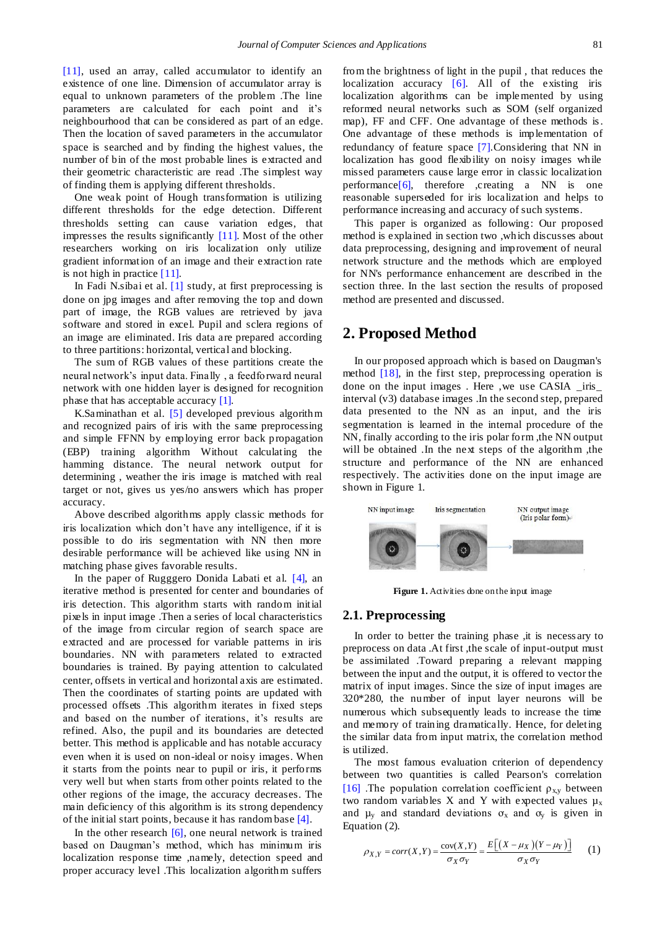[\[11\],](#page-4-7) used an array, called accumulator to identify an existence of one line. Dimension of accumulator array is equal to unknown parameters of the problem .The line parameters are calculated for each point and it"s neighbourhood that can be considered as part of an edge. Then the location of saved parameters in the accumulator space is searched and by finding the highest values, the number of bin of the most probable lines is extracted and their geometric characteristic are read .The simplest way of finding them is applying different thresholds.

One weak point of Hough transformation is utilizing different thresholds for the edge detection. Different thresholds setting can cause variation edges, that impresses the results significantly [\[11\].](#page-4-7) Most of the other researchers working on iris localization only utilize gradient information of an image and their extraction rate is not high in practice  $[11]$ .

In Fadi N.sibai et al. [\[1\]](#page-4-0) study, at first preprocessing is done on jpg images and after removing the top and down part of image, the RGB values are retrieved by java software and stored in excel. Pupil and sclera regions of an image are eliminated. Iris data are prepared according to three partitions: horizontal, vertical and blocking.

The sum of RGB values of these partitions create the neural network"s input data. Finally , a feedforward neural network with one hidden layer is designed for recognition phase that has acceptable accuracy [\[1\].](#page-4-0)

K.Saminathan et al. [\[5\]](#page-4-9) developed previous algorithm and recognized pairs of iris with the same preprocessing and simple FFNN by employing error back propagation (EBP) training algorithm Without calculating the hamming distance. The neural network output for determining , weather the iris image is matched with real target or not, gives us yes/no answers which has proper accuracy.

Above described algorithms apply classic methods for iris localization which don"t have any intelligence, if it is possible to do iris segmentation with NN then more desirable performance will be achieved like using NN in matching phase gives favorable results.

In the paper of Rugggero Donida Labati et al. [\[4\],](#page-4-3) an iterative method is presented for center and boundaries of iris detection. This algorithm starts with random initial pixels in input image .Then a series of local characteristics of the image from circular region of search space are extracted and are processed for variable patterns in iris boundaries. NN with parameters related to extracted boundaries is trained. By paying attention to calculated center, offsets in vertical and horizontal axis are estimated. Then the coordinates of starting points are updated with processed offsets .This algorithm iterates in fixed steps and based on the number of iterations, it's results are refined. Also, the pupil and its boundaries are detected better. This method is applicable and has notable accuracy even when it is used on non-ideal or noisy images. When it starts from the points near to pupil or iris, it performs very well but when starts from other points related to the other regions of the image, the accuracy decreases. The main deficiency of this algorithm is its strong dependency of the initial start points, because it has random base [\[4\].](#page-4-3)

In the other research  $[6]$ , one neural network is trained based on Daugman"s method, which has minimum iris localization response time ,namely, detection speed and proper accuracy level .This localization algorithm suffers

from the brightness of light in the pupil , that reduces the localization accuracy [\[6\].](#page-4-10) All of the existing iris localization algorithms can be implemented by using reformed neural networks such as SOM (self organized map), FF and CFF. One advantage of these methods is. One advantage of these methods is implementation of redundancy of feature space [\[7\].](#page-4-11)Considering that NN in localization has good flexibility on noisy images while missed parameters cause large error in classic localization performanc[e\[6\],](#page-4-10) therefore ,creating a NN is one reasonable superseded for iris localization and helps to performance increasing and accuracy of such systems.

This paper is organized as following: Our proposed method is explained in section two ,which discusses about data preprocessing, designing and improvement of neural network structure and the methods which are employed for NN's performance enhancement are described in the section three. In the last section the results of proposed method are presented and discussed.

# **2. Proposed Method**

In our proposed approach which is based on Daugman's method [\[18\],](#page-4-5) in the first step, preprocessing operation is done on the input images . Here ,we use CASIA \_iris\_ interval (v3) database images .In the second step, prepared data presented to the NN as an input, and the iris segmentation is learned in the internal procedure of the NN, finally according to the iris polar form ,the NN output will be obtained . In the next steps of the algorithm, the structure and performance of the NN are enhanced respectively. The activities done on the input image are shown in Figure 1.



**Figure 1.** Activities done on the input image

#### **2.1. Preprocessing**

In order to better the training phase ,it is necess ary to preprocess on data .At first ,the scale of input-output must be assimilated .Toward preparing a relevant mapping between the input and the output, it is offered to vector the matrix of input images. Since the size of input images are 320\*280, the number of input layer neurons will be numerous which subsequently leads to increase the time and memory of training dramatically. Hence, for deleting the similar data from input matrix, the correlation method is utilized.

The most famous evaluation criterion of dependency between two quantities is called Pearson's correlation [\[16\]](#page-4-12) .The population correlation coefficient  $\rho_{xy}$  between two random variables X and Y with expected values  $\mu$ <sub>x</sub> and  $\mu$ <sub>y</sub> and standard deviations  $\sigma$ <sub>x</sub> and  $\sigma$ <sub>y</sub> is given in Equation (2).

ation (2).  
\n
$$
\rho_{X,Y} = corr(X,Y) = \frac{cov(X,Y)}{\sigma_X \sigma_Y} = \frac{E\big[(X - \mu_X)(Y - \mu_Y)\big]}{\sigma_X \sigma_Y}
$$
 (1)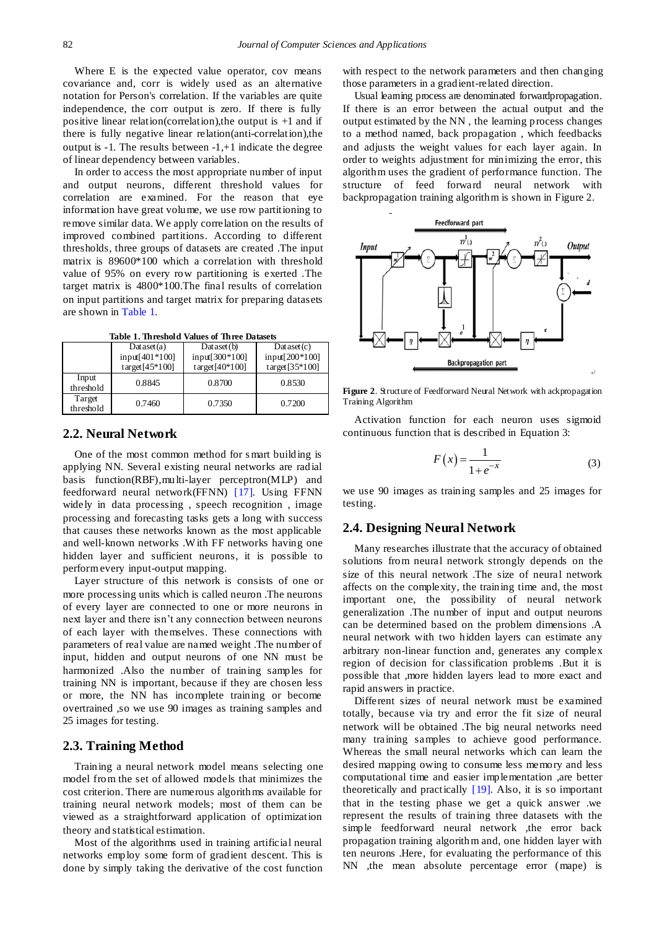Where E is the expected value operator, cov means covariance and, corr is widely used as an alternative notation for Person's correlation. If the variables are quite independence, the corr output is zero. If there is fully positive linear relation(correlation),the output is +1 and if there is fully negative linear relation(anti-correlation),the output is -1. The results between -1,+1 indicate the degree of linear dependency between variables.

In order to access the most appropriate number of input and output neurons, different threshold values for correlation are examined. For the reason that eye information have great volume, we use row partitioning to remove similar data. We apply correlation on the results of improved combined partitions. According to different thresholds, three groups of datasets are created .The input matrix is 89600\*100 which a correlation with threshold value of 95% on every row partitioning is exerted .The target matrix is 4800\*100.The final results of correlation on input partitions and target matrix for preparing datasets are shown in [Table 1.](#page-2-0)

**Table 1. Threshold Values of Three Datasets**

<span id="page-2-0"></span>

|                     | Dataset(a)              | Dataset(b)        | Dataset(c)        |
|---------------------|-------------------------|-------------------|-------------------|
|                     | input[401*100]          | input[300*100]    | input[200*100]    |
|                     | $\text{target}[45*100]$ | target $[40*100]$ | target $[35*100]$ |
| Input<br>threshold  | 0.8845                  | 0.8700            | 0.8530            |
| Target<br>threshold | 0.7460                  | 0.7350            | 0.7200            |

### **2.2. Neural Network**

One of the most common method for s mart building is applying NN. Several existing neural networks are radial basis function(RBF),multi-layer perceptron(MLP) and feedforward neural network(FFNN) [\[17\].](#page-4-13) Using FFNN widely in data processing , speech recognition , image processing and forecasting tasks gets a long with success that causes these networks known as the most applicable and well-known networks .W ith FF networks having one hidden layer and sufficient neurons, it is possible to perform every input-output mapping.

Layer structure of this network is consists of one or more processing units which is called neuron .The neurons of every layer are connected to one or more neurons in next layer and there isn"t any connection between neurons of each layer with themselves. These connections with parameters of real value are named weight .The number of input, hidden and output neurons of one NN must be harmonized .Also the number of training samples for training NN is important, because if they are chosen less or more, the NN has incomplete training or become overtrained ,so we use 90 images as training samples and 25 images for testing.

### **2.3. Training Method**

Training a neural network model means selecting one model from the set of allowed models that minimizes the cost criterion. There are numerous algorithms available for training neural network models; most of them can be viewed as a straightforward application of optimization theory and statistical estimation.

Most of the algorithms used in training artificial neural networks employ some form of gradient descent. This is done by simply taking the derivative of the cost function with respect to the network parameters and then changing those parameters in a gradient-related direction.

Usual learning process are denominated forwardpropagation. If there is an error between the actual output and the output estimated by the NN , the learning process changes to a method named, back propagation , which feedbacks and adjusts the weight values for each layer again. In order to weights adjustment for minimizing the error, this algorithm uses the gradient of performance function. The structure of feed forward neural network with backpropagation training algorithm is shown in Figure 2.



**Figure 2**. Structure of Feedforward Neural Network with ackpropagation Training Algorithm

Activation function for each neuron uses sigmoid continuous function that is described in Equation 3:

$$
F(x) = \frac{1}{1 + e^{-x}}\tag{3}
$$

we use 90 images as training samples and 25 images for testing.

### **2.4. Designing Neural Network**

Many researches illustrate that the accuracy of obtained solutions from neural network strongly depends on the size of this neural network .The size of neural network affects on the complexity, the training time and, the most important one, the possibility of neural network generalization .The number of input and output neurons can be determined based on the problem dimensions .A neural network with two hidden layers can estimate any arbitrary non-linear function and, generates any complex region of decision for classification problems .But it is possible that ,more hidden layers lead to more exact and rapid answers in practice.

Different sizes of neural network must be examined totally, because via try and error the fit size of neural network will be obtained .The big neural networks need many training samples to achieve good performance. Whereas the small neural networks which can learn the desired mapping owing to consume less memory and less computational time and easier implementation ,are better theoretically and practically [\[19\].](#page-4-14) Also, it is so important that in the testing phase we get a quick answer .we represent the results of training three datasets with the simple feedforward neural network ,the error back propagation training algorithm and, one hidden layer with ten neurons .Here, for evaluating the performance of this NN ,the mean absolute percentage error (mape) is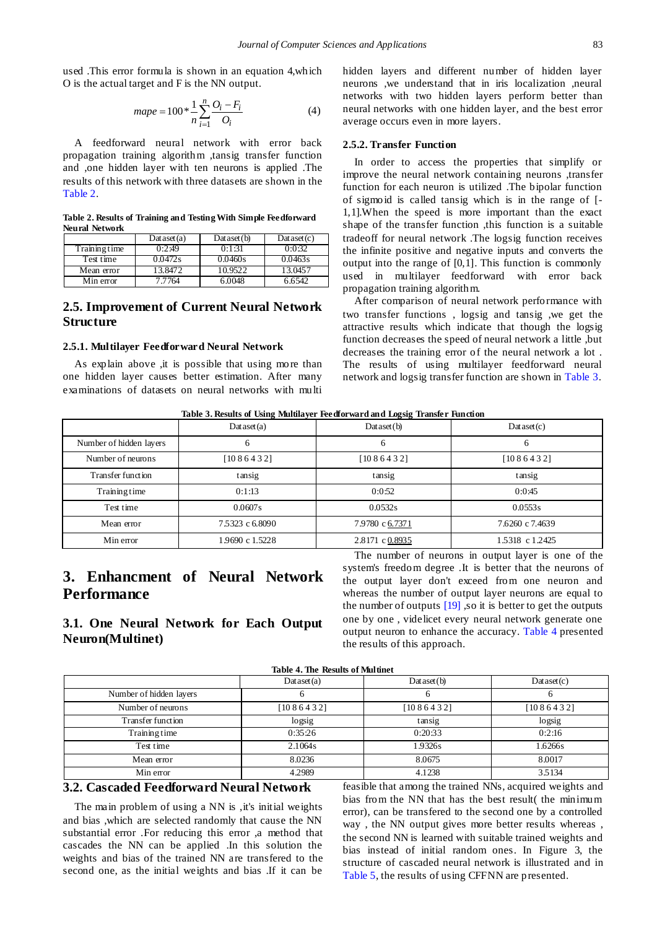used .This error formula is shown in an equation 4,which O is the actual target and F is the NN output.

$$
mape = 100 * \frac{1}{n} \sum_{i=1}^{n} \frac{O_i - F_i}{O_i}
$$
 (4)

A feedforward neural network with error back propagation training algorithm ,tansig transfer function and ,one hidden layer with ten neurons is applied .The results of this network with three datasets are shown in the [Table 2.](#page-3-0)

**Table 2. Results of Training and Testing With Simple Feedforward Neural Network**

<span id="page-3-0"></span>

|               | Dataset(a) | Dataset(b) | Dataset(c) |
|---------------|------------|------------|------------|
| Training time | 0:2:49     | 0:1:31     | 0:0:32     |
| Test time     | 0.0472s    | 0.0460s    | 0.0463s    |
| Mean error    | 3.8472     | 10.9522    | 13.0457    |
| Min error     | 7.7764     | 6.0048     | 6.6542     |

### **2.5. Improvement of Current Neural Network Structure**

#### **2.5.1. Multilayer Feedforward Neural Network**

As explain above ,it is possible that using more than one hidden layer causes better estimation. After many examinations of datasets on neural networks with multi hidden layers and different number of hidden layer neurons ,we understand that in iris localization ,neural networks with two hidden layers perform better than neural networks with one hidden layer, and the best error average occurs even in more layers.

#### **2.5.2. Transfer Function**

In order to access the properties that simplify or improve the neural network containing neurons ,transfer function for each neuron is utilized .The bipolar function of sigmoid is called tansig which is in the range of [- 1,1].When the speed is more important than the exact shape of the transfer function ,this function is a suitable tradeoff for neural network .The logsig function receives the infinite positive and negative inputs and converts the output into the range of [0,1]. This function is commonly used in multilayer feedforward with error back propagation training algorithm.

After comparison of neural network performance with two transfer functions , logsig and tansig ,we get the attractive results which indicate that though the logsig function decreases the speed of neural network a little ,but decreases the training error of the neural network a lot . The results of using multilayer feedforward neural network and logsig transfer function are shown in [Table 3.](#page-3-1)

| Table 3. Results of Using Multilayer Feedforward and Logsig Transfer Function |  |  |  |  |  |  |  |
|-------------------------------------------------------------------------------|--|--|--|--|--|--|--|
|-------------------------------------------------------------------------------|--|--|--|--|--|--|--|

<span id="page-3-1"></span>

|                         | Dataset(a)      | Table 5. Results of Csing traducta for recursival and Logsig Transici run don<br>Dataset(b) | Dataset(c)      |
|-------------------------|-----------------|---------------------------------------------------------------------------------------------|-----------------|
| Number of hidden layers | 6               | 6                                                                                           | 6               |
| Number of neurons       | [1086432]       | [1086432]                                                                                   | [1086432]       |
| Transfer function       | tansig          | tansig                                                                                      | tansig          |
| Training time           | 0:1:13          | 0:0:52                                                                                      | 0:0:45          |
| Test time               | 0.0607s         | 0.0532s                                                                                     | 0.0553s         |
| Mean error              | 7.5323 c 6.8090 | 7.9780 c 6.7371                                                                             | 7.6260 c 7.4639 |
| Min error               | 1.9690 c 1.5228 | 2.8171 c 0.8935                                                                             | 1.5318 c 1.2425 |

# **3. Enhancment of Neural Network Performance**

### **3.1. One Neural Network for Each Output Neuron(Multinet)**

The number of neurons in output layer is one of the system's freedom degree .It is better that the neurons of the output layer don't exceed from one neuron and whereas the number of output layer neurons are equal to the number of outputs  $[19]$ , so it is better to get the outputs one by one , videlicet every neural network generate one output neuron to enhance the accuracy. [Table 4](#page-3-2) presented the results of this approach.

**Table 4. The Results of Multinet**

<span id="page-3-2"></span>

|                         | Dataset(a) | Dataset(b) | Dataset(c) |
|-------------------------|------------|------------|------------|
| Number of hidden layers |            |            |            |
| Number of neurons       | [1086432]  | [1086432]  | [1086432]  |
| Transfer function       | logsig     | tansig     | logsig     |
| Training time           | 0:35:26    | 0:20:33    | 0:2:16     |
| Test time               | 2.1064s    | 1.9326s    | 1.6266s    |
| Mean error              | 8.0236     | 8.0675     | 8.0017     |
| Min error               | 4.2989     | 4.1238     | 3.5134     |

### **3.2. Cascaded Feedforward Neural Network**

The main problem of using a NN is ,it's initial weights and bias ,which are selected randomly that cause the NN substantial error .For reducing this error ,a method that cascades the NN can be applied .In this solution the weights and bias of the trained NN are transfered to the second one, as the initial weights and bias .If it can be

feasible that among the trained NNs, acquired weights and bias from the NN that has the best result( the minimum error), can be transfered to the second one by a controlled way , the NN output gives more better results whereas , the second NN is learned with suitable trained weights and bias instead of initial random ones. In Figure 3, the structure of cascaded neural network is illustrated and in [Table 5,](#page-4-15) the results of using CFFNN are presented.